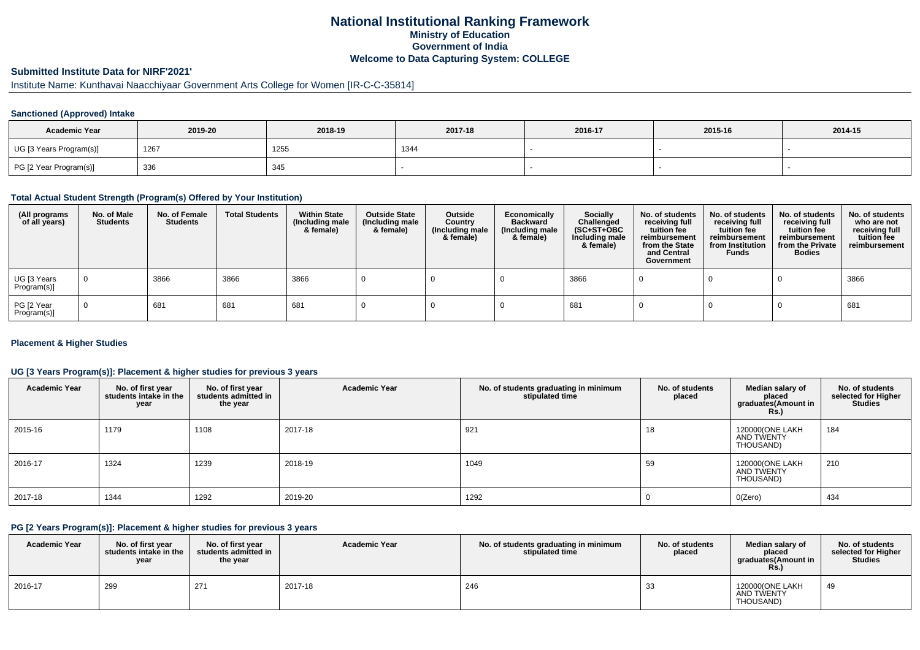## **National Institutional Ranking FrameworkMinistry of Education Government of IndiaWelcome to Data Capturing System: COLLEGE**

# **Submitted Institute Data for NIRF'2021'**

# Institute Name: Kunthavai Naacchiyaar Government Arts College for Women [IR-C-C-35814]

#### **Sanctioned (Approved) Intake**

| <b>Academic Year</b>    | 2019-20 | 2018-19 | 2017-18 | 2016-17 | 2015-16 | 2014-15 |
|-------------------------|---------|---------|---------|---------|---------|---------|
| UG [3 Years Program(s)] | 126     | 1255    | 1344    |         |         |         |
| PG [2 Year Program(s)]  | 336     | 345     |         |         |         |         |

#### **Total Actual Student Strength (Program(s) Offered by Your Institution)**

| (All programs<br>of all years) | No. of Male<br><b>Students</b> | No. of Female<br><b>Students</b> | <b>Total Students</b> | <b>Within State</b><br>(Including male<br>& female) | <b>Outside State</b><br>(Including male<br>& female) | Outside<br>Country<br>(Including male<br>& female) | Economically<br><b>Backward</b><br>(Including male<br>& female) | <b>Socially</b><br>Challenged<br>$(SC+ST+OBC)$<br>Including male<br>& female) | No. of students<br>receiving full<br>tuition fee<br>reimbursement<br>from the State<br>and Central<br>Government | No. of students<br>receiving full<br>tuition fee<br>reimbursement<br>from Institution<br><b>Funds</b> | No. of students<br>receiving full<br>tuition fee<br>reimbursement<br>from the Private<br><b>Bodies</b> | No. of students<br>who are not<br>receiving full<br>tuition fee<br>reimbursement |
|--------------------------------|--------------------------------|----------------------------------|-----------------------|-----------------------------------------------------|------------------------------------------------------|----------------------------------------------------|-----------------------------------------------------------------|-------------------------------------------------------------------------------|------------------------------------------------------------------------------------------------------------------|-------------------------------------------------------------------------------------------------------|--------------------------------------------------------------------------------------------------------|----------------------------------------------------------------------------------|
| UG [3 Years<br>Program(s)]     |                                | 3866                             | 3866                  | 3866                                                |                                                      |                                                    |                                                                 | 3866                                                                          |                                                                                                                  |                                                                                                       |                                                                                                        | 3866                                                                             |
| PG [2 Year<br>Program(s)]      |                                | 681                              | 681                   | 681                                                 |                                                      |                                                    |                                                                 | 681                                                                           |                                                                                                                  |                                                                                                       |                                                                                                        | 681                                                                              |

#### **Placement & Higher Studies**

#### **UG [3 Years Program(s)]: Placement & higher studies for previous 3 years**

| <b>Academic Year</b> | No. of first year<br>students intake in the<br>year | No. of first year<br>students admitted in<br>the year | <b>Academic Year</b> | No. of students graduating in minimum<br>stipulated time | No. of students<br>placed | Median salary of<br>placed<br>graduates(Amount in<br>Rs. | No. of students<br>selected for Higher<br><b>Studies</b> |
|----------------------|-----------------------------------------------------|-------------------------------------------------------|----------------------|----------------------------------------------------------|---------------------------|----------------------------------------------------------|----------------------------------------------------------|
| 2015-16              | 1179                                                | 1108                                                  | 2017-18              | 921                                                      | 18                        | 120000(ONE LAKH<br>AND TWENTY<br>THOUSAND)               | 184                                                      |
| 2016-17              | 1324                                                | 1239                                                  | 2018-19              | 1049                                                     | 59                        | 120000(ONE LAKH<br>AND TWENTY<br>THOUSAND)               | 210                                                      |
| 2017-18              | 1344                                                | 1292                                                  | 2019-20              | 1292                                                     |                           | O(Zero)                                                  | 434                                                      |

#### **PG [2 Years Program(s)]: Placement & higher studies for previous 3 years**

| <b>Academic Year</b> | No. of first vear<br>students intake in the<br>year | No. of first vear<br>students admitted in<br>the year | <b>Academic Year</b> | No. of students graduating in minimum<br>stipulated time | No. of students<br>placed | Median salary of<br>placed<br>graduates(Amount in<br>Rs. | No. of students<br>selected for Higher<br><b>Studies</b> |
|----------------------|-----------------------------------------------------|-------------------------------------------------------|----------------------|----------------------------------------------------------|---------------------------|----------------------------------------------------------|----------------------------------------------------------|
| 2016-17              | 299                                                 | 271                                                   | 2017-18              | 246                                                      | 33                        | 120000(ONE LAKH<br>AND TWENTY<br>THOUSAND)               | 49                                                       |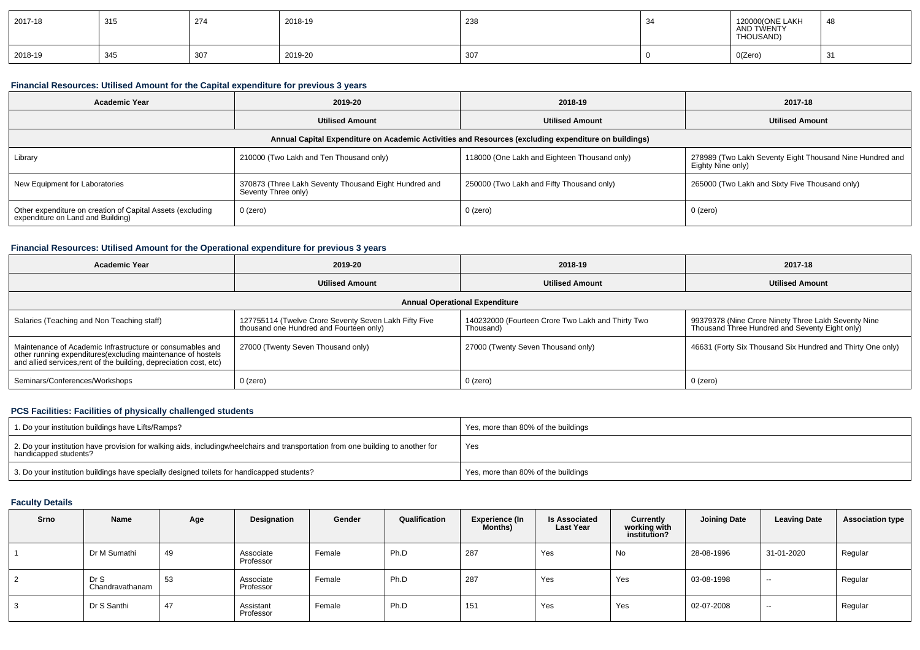| 2017-18 | 315 | 274 | 2018-19 | 238 | 120000(ONE LAKH<br>AND TWENTY<br>THOUSAND) | -4ε |
|---------|-----|-----|---------|-----|--------------------------------------------|-----|
| 2018-19 | 345 | 307 | 2019-20 | 307 | O(Zero)<br>$\sim$ $\sim$                   | 31  |

### **Financial Resources: Utilised Amount for the Capital expenditure for previous 3 years**

| <b>Academic Year</b>                                                                            | 2019-20                                                                      | 2018-19                                                                                              | 2017-18                                                                       |
|-------------------------------------------------------------------------------------------------|------------------------------------------------------------------------------|------------------------------------------------------------------------------------------------------|-------------------------------------------------------------------------------|
|                                                                                                 | <b>Utilised Amount</b>                                                       | <b>Utilised Amount</b>                                                                               | <b>Utilised Amount</b>                                                        |
|                                                                                                 |                                                                              | Annual Capital Expenditure on Academic Activities and Resources (excluding expenditure on buildings) |                                                                               |
| Library                                                                                         | 210000 (Two Lakh and Ten Thousand only)                                      | 118000 (One Lakh and Eighteen Thousand only)                                                         | 278989 (Two Lakh Seventy Eight Thousand Nine Hundred and<br>Eighty Nine only) |
| New Equipment for Laboratories                                                                  | 370873 (Three Lakh Seventy Thousand Eight Hundred and<br>Seventy Three only) | 250000 (Two Lakh and Fifty Thousand only)                                                            | 265000 (Two Lakh and Sixty Five Thousand only)                                |
| Other expenditure on creation of Capital Assets (excluding<br>expenditure on Land and Building) | 0 (zero)                                                                     | $0$ (zero)                                                                                           | 0 (zero)                                                                      |

### **Financial Resources: Utilised Amount for the Operational expenditure for previous 3 years**

| <b>Academic Year</b>                                                                                                                                                                           | 2019-20                                                                                          | 2018-19                                                        | 2017-18                                                                                               |
|------------------------------------------------------------------------------------------------------------------------------------------------------------------------------------------------|--------------------------------------------------------------------------------------------------|----------------------------------------------------------------|-------------------------------------------------------------------------------------------------------|
|                                                                                                                                                                                                | <b>Utilised Amount</b>                                                                           | <b>Utilised Amount</b>                                         | <b>Utilised Amount</b>                                                                                |
|                                                                                                                                                                                                |                                                                                                  | <b>Annual Operational Expenditure</b>                          |                                                                                                       |
| Salaries (Teaching and Non Teaching staff)                                                                                                                                                     | 127755114 (Twelve Crore Seventy Seven Lakh Fifty Five<br>thousand one Hundred and Fourteen only) | 140232000 (Fourteen Crore Two Lakh and Thirty Two<br>Thousand) | 99379378 (Nine Crore Ninety Three Lakh Seventy Nine<br>Thousand Three Hundred and Seventy Eight only) |
| Maintenance of Academic Infrastructure or consumables and<br>other running expenditures(excluding maintenance of hostels<br>and allied services, rent of the building, depreciation cost, etc) | 27000 (Twenty Seven Thousand only)                                                               | 27000 (Twenty Seven Thousand only)                             | 46631 (Forty Six Thousand Six Hundred and Thirty One only)                                            |
| Seminars/Conferences/Workshops                                                                                                                                                                 | 0 (zero)                                                                                         | $0$ (zero)                                                     | 0 (zero)                                                                                              |

#### **PCS Facilities: Facilities of physically challenged students**

| 1. Do your institution buildings have Lifts/Ramps?                                                                                                        | Yes, more than 80% of the buildings |
|-----------------------------------------------------------------------------------------------------------------------------------------------------------|-------------------------------------|
| 2. Do your institution have provision for walking aids, includingwheelchairs and transportation from one building to another for<br>handicapped students? | Yes                                 |
| 3. Do your institution buildings have specially designed toilets for handicapped students?                                                                | Yes, more than 80% of the buildings |

### **Faculty Details**

| Srno           | Name                    | Age | Designation            | Gender | Qualification | Experience (In<br><b>Months)</b> | <b>Is Associated</b><br><b>Last Year</b> | Currently<br>working with<br>institution? | <b>Joining Date</b> | <b>Leaving Date</b>      | <b>Association type</b> |
|----------------|-------------------------|-----|------------------------|--------|---------------|----------------------------------|------------------------------------------|-------------------------------------------|---------------------|--------------------------|-------------------------|
|                | Dr M Sumathi            | 49  | Associate<br>Professor | Female | Ph.D          | 287                              | Yes                                      | No                                        | 28-08-1996          | 31-01-2020               | Regular                 |
| $\overline{2}$ | Dr S<br>Chandravathanam | 53  | Associate<br>Professor | Female | Ph.D          | 287                              | Yes                                      | Yes                                       | 03-08-1998          | $- -$                    | Regular                 |
| 3              | Dr S Santhi             | 47  | Assistant<br>Professor | Female | Ph.D          | 151                              | Yes                                      | Yes                                       | 02-07-2008          | $\overline{\phantom{a}}$ | Regular                 |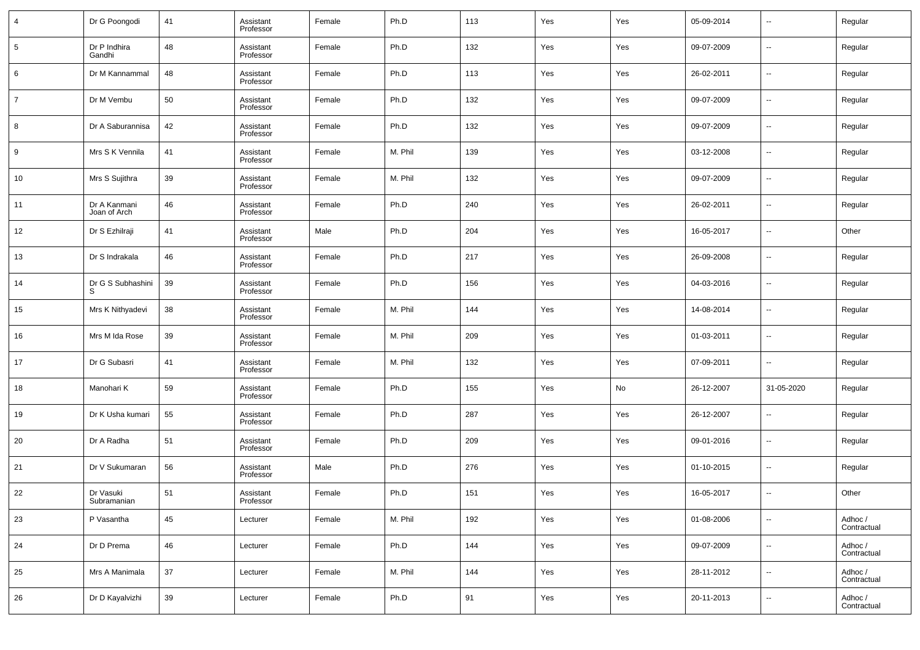| $\overline{4}$ | Dr G Poongodi                | 41 | Assistant<br>Professor | Female | Ph.D    | 113 | Yes | Yes | 05-09-2014 | $\overline{\phantom{a}}$ | Regular                |
|----------------|------------------------------|----|------------------------|--------|---------|-----|-----|-----|------------|--------------------------|------------------------|
| 5              | Dr P Indhira<br>Gandhi       | 48 | Assistant<br>Professor | Female | Ph.D    | 132 | Yes | Yes | 09-07-2009 | $\overline{\phantom{a}}$ | Regular                |
| 6              | Dr M Kannammal               | 48 | Assistant<br>Professor | Female | Ph.D    | 113 | Yes | Yes | 26-02-2011 | $\overline{\phantom{a}}$ | Regular                |
| 7              | Dr M Vembu                   | 50 | Assistant<br>Professor | Female | Ph.D    | 132 | Yes | Yes | 09-07-2009 | $\overline{\phantom{a}}$ | Regular                |
| 8              | Dr A Saburannisa             | 42 | Assistant<br>Professor | Female | Ph.D    | 132 | Yes | Yes | 09-07-2009 | $\overline{\phantom{a}}$ | Regular                |
| 9              | Mrs S K Vennila              | 41 | Assistant<br>Professor | Female | M. Phil | 139 | Yes | Yes | 03-12-2008 | $\overline{\phantom{a}}$ | Regular                |
| 10             | Mrs S Sujithra               | 39 | Assistant<br>Professor | Female | M. Phil | 132 | Yes | Yes | 09-07-2009 | $\overline{\phantom{a}}$ | Regular                |
| 11             | Dr A Kanmani<br>Joan of Arch | 46 | Assistant<br>Professor | Female | Ph.D    | 240 | Yes | Yes | 26-02-2011 | $\overline{\phantom{a}}$ | Regular                |
| 12             | Dr S Ezhilraji               | 41 | Assistant<br>Professor | Male   | Ph.D    | 204 | Yes | Yes | 16-05-2017 | $\overline{\phantom{a}}$ | Other                  |
| 13             | Dr S Indrakala               | 46 | Assistant<br>Professor | Female | Ph.D    | 217 | Yes | Yes | 26-09-2008 | $\overline{\phantom{a}}$ | Regular                |
| 14             | Dr G S Subhashini            | 39 | Assistant<br>Professor | Female | Ph.D    | 156 | Yes | Yes | 04-03-2016 | $\overline{\phantom{a}}$ | Regular                |
| 15             | Mrs K Nithyadevi             | 38 | Assistant<br>Professor | Female | M. Phil | 144 | Yes | Yes | 14-08-2014 | $\overline{\phantom{a}}$ | Regular                |
| 16             | Mrs M Ida Rose               | 39 | Assistant<br>Professor | Female | M. Phil | 209 | Yes | Yes | 01-03-2011 | $\overline{\phantom{a}}$ | Regular                |
| 17             | Dr G Subasri                 | 41 | Assistant<br>Professor | Female | M. Phil | 132 | Yes | Yes | 07-09-2011 | $\overline{\phantom{a}}$ | Regular                |
| 18             | Manohari K                   | 59 | Assistant<br>Professor | Female | Ph.D    | 155 | Yes | No  | 26-12-2007 | 31-05-2020               | Regular                |
| 19             | Dr K Usha kumari             | 55 | Assistant<br>Professor | Female | Ph.D    | 287 | Yes | Yes | 26-12-2007 | $\overline{\phantom{a}}$ | Regular                |
| 20             | Dr A Radha                   | 51 | Assistant<br>Professor | Female | Ph.D    | 209 | Yes | Yes | 09-01-2016 | $\overline{\phantom{a}}$ | Regular                |
| 21             | Dr V Sukumaran               | 56 | Assistant<br>Professor | Male   | Ph.D    | 276 | Yes | Yes | 01-10-2015 | $\overline{\phantom{a}}$ | Regular                |
| 22             | Dr Vasuki<br>Subramanian     | 51 | Assistant<br>Professor | Female | Ph.D    | 151 | Yes | Yes | 16-05-2017 | $\overline{\phantom{a}}$ | Other                  |
| 23             | P Vasantha                   | 45 | Lecturer               | Female | M. Phil | 192 | Yes | Yes | 01-08-2006 | $\overline{\phantom{a}}$ | Adhoc /<br>Contractual |
| 24             | Dr D Prema                   | 46 | Lecturer               | Female | Ph.D    | 144 | Yes | Yes | 09-07-2009 | $\overline{\phantom{a}}$ | Adhoc /<br>Contractual |
| 25             | Mrs A Manimala               | 37 | Lecturer               | Female | M. Phil | 144 | Yes | Yes | 28-11-2012 | $\overline{\phantom{a}}$ | Adhoc /<br>Contractual |
| 26             | Dr D Kayalvizhi              | 39 | Lecturer               | Female | Ph.D    | 91  | Yes | Yes | 20-11-2013 | $\overline{\phantom{a}}$ | Adhoc /<br>Contractual |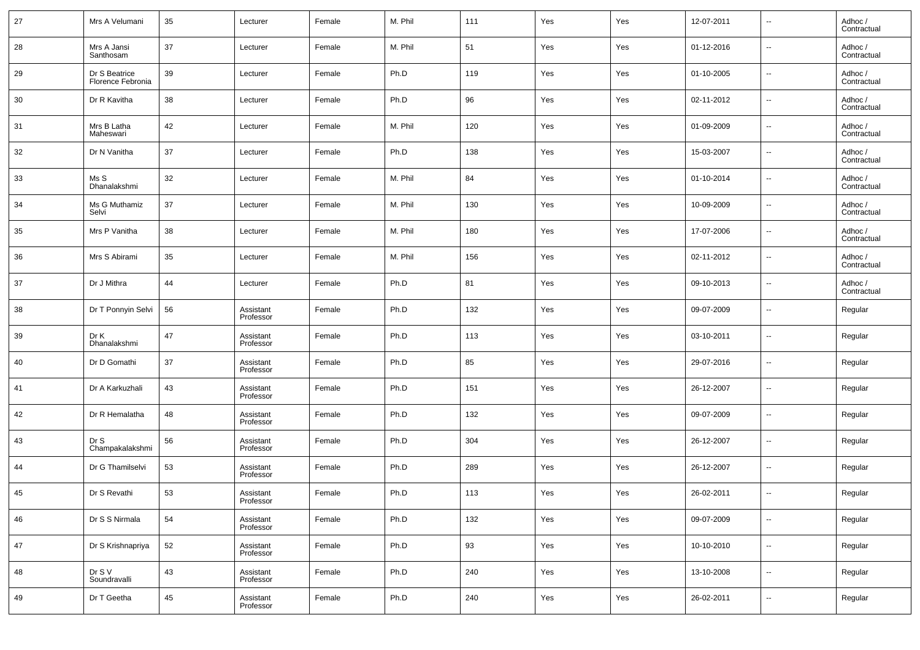| 27 | Mrs A Velumani                     | 35 | Lecturer               | Female | M. Phil | 111 | Yes | Yes | 12-07-2011 | $\overline{\phantom{a}}$ | Adhoc /<br>Contractual |
|----|------------------------------------|----|------------------------|--------|---------|-----|-----|-----|------------|--------------------------|------------------------|
| 28 | Mrs A Jansi<br>Santhosam           | 37 | Lecturer               | Female | M. Phil | 51  | Yes | Yes | 01-12-2016 | $\overline{\phantom{a}}$ | Adhoc /<br>Contractual |
| 29 | Dr S Beatrice<br>Florence Febronia | 39 | Lecturer               | Female | Ph.D    | 119 | Yes | Yes | 01-10-2005 | $\overline{\phantom{a}}$ | Adhoc /<br>Contractual |
| 30 | Dr R Kavitha                       | 38 | Lecturer               | Female | Ph.D    | 96  | Yes | Yes | 02-11-2012 | $\overline{\phantom{a}}$ | Adhoc /<br>Contractual |
| 31 | Mrs B Latha<br>Maheswari           | 42 | Lecturer               | Female | M. Phil | 120 | Yes | Yes | 01-09-2009 | $\sim$                   | Adhoc /<br>Contractual |
| 32 | Dr N Vanitha                       | 37 | Lecturer               | Female | Ph.D    | 138 | Yes | Yes | 15-03-2007 | $\overline{\phantom{a}}$ | Adhoc /<br>Contractual |
| 33 | Ms S<br>Dhanalakshmi               | 32 | Lecturer               | Female | M. Phil | 84  | Yes | Yes | 01-10-2014 | $\overline{\phantom{a}}$ | Adhoc /<br>Contractual |
| 34 | Ms G Muthamiz<br>Selvi             | 37 | Lecturer               | Female | M. Phil | 130 | Yes | Yes | 10-09-2009 | $\overline{\phantom{a}}$ | Adhoc /<br>Contractual |
| 35 | Mrs P Vanitha                      | 38 | Lecturer               | Female | M. Phil | 180 | Yes | Yes | 17-07-2006 | $\overline{\phantom{a}}$ | Adhoc /<br>Contractual |
| 36 | Mrs S Abirami                      | 35 | Lecturer               | Female | M. Phil | 156 | Yes | Yes | 02-11-2012 | $\overline{\phantom{a}}$ | Adhoc /<br>Contractual |
| 37 | Dr J Mithra                        | 44 | Lecturer               | Female | Ph.D    | 81  | Yes | Yes | 09-10-2013 | $\overline{\phantom{a}}$ | Adhoc /<br>Contractual |
| 38 | Dr T Ponnyin Selvi                 | 56 | Assistant<br>Professor | Female | Ph.D    | 132 | Yes | Yes | 09-07-2009 | $\overline{\phantom{a}}$ | Regular                |
| 39 | Dr K<br>Dhanalakshmi               | 47 | Assistant<br>Professor | Female | Ph.D    | 113 | Yes | Yes | 03-10-2011 | $\overline{\phantom{a}}$ | Regular                |
| 40 | Dr D Gomathi                       | 37 | Assistant<br>Professor | Female | Ph.D    | 85  | Yes | Yes | 29-07-2016 | $\overline{\phantom{a}}$ | Regular                |
| 41 | Dr A Karkuzhali                    | 43 | Assistant<br>Professor | Female | Ph.D    | 151 | Yes | Yes | 26-12-2007 | $\overline{\phantom{a}}$ | Regular                |
| 42 | Dr R Hemalatha                     | 48 | Assistant<br>Professor | Female | Ph.D    | 132 | Yes | Yes | 09-07-2009 | $\overline{\phantom{a}}$ | Regular                |
| 43 | Dr S<br>Champakalakshmi            | 56 | Assistant<br>Professor | Female | Ph.D    | 304 | Yes | Yes | 26-12-2007 | $\overline{\phantom{a}}$ | Regular                |
| 44 | Dr G Thamilselvi                   | 53 | Assistant<br>Professor | Female | Ph.D    | 289 | Yes | Yes | 26-12-2007 | $\overline{\phantom{a}}$ | Regular                |
| 45 | Dr S Revathi                       | 53 | Assistant<br>Professor | Female | Ph.D    | 113 | Yes | Yes | 26-02-2011 | $\overline{\phantom{a}}$ | Regular                |
| 46 | Dr S S Nirmala                     | 54 | Assistant<br>Professor | Female | Ph.D    | 132 | Yes | Yes | 09-07-2009 | $\sim$                   | Regular                |
| 47 | Dr S Krishnapriya                  | 52 | Assistant<br>Professor | Female | Ph.D    | 93  | Yes | Yes | 10-10-2010 | $\sim$                   | Regular                |
| 48 | Dr S V<br>Soundravalli             | 43 | Assistant<br>Professor | Female | Ph.D    | 240 | Yes | Yes | 13-10-2008 | $\overline{\phantom{a}}$ | Regular                |
| 49 | Dr T Geetha                        | 45 | Assistant<br>Professor | Female | Ph.D    | 240 | Yes | Yes | 26-02-2011 | $\overline{\phantom{a}}$ | Regular                |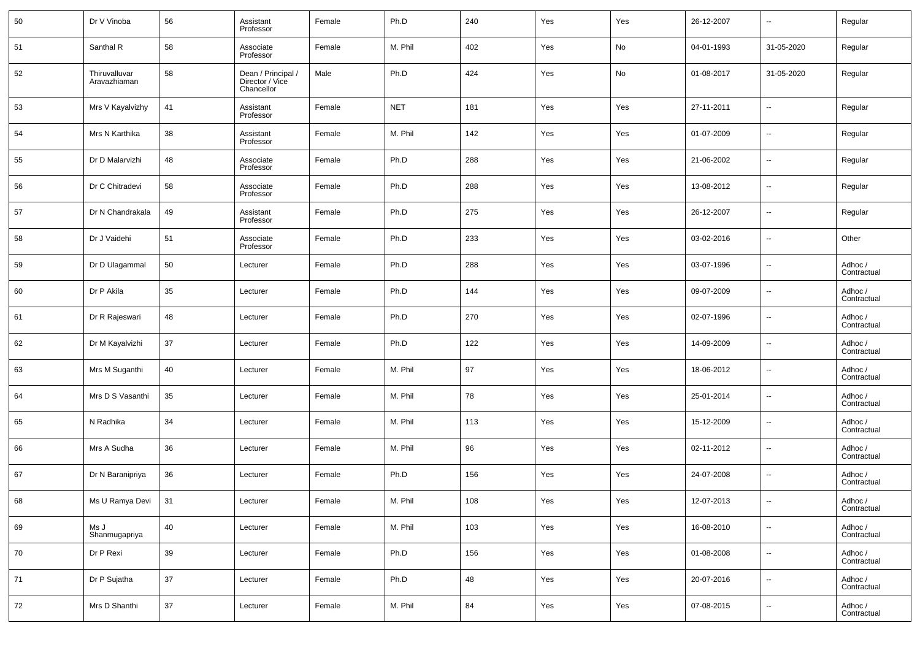| 50 | Dr V Vinoba                   | 56 | Assistant<br>Professor                              | Female | Ph.D       | 240 | Yes | Yes | 26-12-2007 | $\sim$                   | Regular                |
|----|-------------------------------|----|-----------------------------------------------------|--------|------------|-----|-----|-----|------------|--------------------------|------------------------|
| 51 | Santhal R                     | 58 | Associate<br>Professor                              | Female | M. Phil    | 402 | Yes | No  | 04-01-1993 | 31-05-2020               | Regular                |
| 52 | Thiruvalluvar<br>Aravazhiaman | 58 | Dean / Principal /<br>Director / Vice<br>Chancellor | Male   | Ph.D       | 424 | Yes | No  | 01-08-2017 | 31-05-2020               | Regular                |
| 53 | Mrs V Kayalvizhy              | 41 | Assistant<br>Professor                              | Female | <b>NET</b> | 181 | Yes | Yes | 27-11-2011 | $\overline{\phantom{a}}$ | Regular                |
| 54 | Mrs N Karthika                | 38 | Assistant<br>Professor                              | Female | M. Phil    | 142 | Yes | Yes | 01-07-2009 | $\overline{\phantom{a}}$ | Regular                |
| 55 | Dr D Malarvizhi               | 48 | Associate<br>Professor                              | Female | Ph.D       | 288 | Yes | Yes | 21-06-2002 | $\overline{\phantom{a}}$ | Regular                |
| 56 | Dr C Chitradevi               | 58 | Associate<br>Professor                              | Female | Ph.D       | 288 | Yes | Yes | 13-08-2012 | $\overline{\phantom{a}}$ | Regular                |
| 57 | Dr N Chandrakala              | 49 | Assistant<br>Professor                              | Female | Ph.D       | 275 | Yes | Yes | 26-12-2007 | $\overline{\phantom{a}}$ | Regular                |
| 58 | Dr J Vaidehi                  | 51 | Associate<br>Professor                              | Female | Ph.D       | 233 | Yes | Yes | 03-02-2016 | $\overline{\phantom{a}}$ | Other                  |
| 59 | Dr D Ulagammal                | 50 | Lecturer                                            | Female | Ph.D       | 288 | Yes | Yes | 03-07-1996 | $\overline{\phantom{a}}$ | Adhoc /<br>Contractual |
| 60 | Dr P Akila                    | 35 | Lecturer                                            | Female | Ph.D       | 144 | Yes | Yes | 09-07-2009 | $\overline{\phantom{a}}$ | Adhoc /<br>Contractual |
| 61 | Dr R Rajeswari                | 48 | Lecturer                                            | Female | Ph.D       | 270 | Yes | Yes | 02-07-1996 | $\overline{\phantom{a}}$ | Adhoc /<br>Contractual |
| 62 | Dr M Kayalvizhi               | 37 | Lecturer                                            | Female | Ph.D       | 122 | Yes | Yes | 14-09-2009 | $\overline{\phantom{a}}$ | Adhoc /<br>Contractual |
| 63 | Mrs M Suganthi                | 40 | Lecturer                                            | Female | M. Phil    | 97  | Yes | Yes | 18-06-2012 | $\overline{\phantom{a}}$ | Adhoc /<br>Contractual |
| 64 | Mrs D S Vasanthi              | 35 | Lecturer                                            | Female | M. Phil    | 78  | Yes | Yes | 25-01-2014 | $\overline{\phantom{a}}$ | Adhoc /<br>Contractual |
| 65 | N Radhika                     | 34 | Lecturer                                            | Female | M. Phil    | 113 | Yes | Yes | 15-12-2009 | $\overline{\phantom{a}}$ | Adhoc /<br>Contractual |
| 66 | Mrs A Sudha                   | 36 | Lecturer                                            | Female | M. Phil    | 96  | Yes | Yes | 02-11-2012 | $\overline{\phantom{a}}$ | Adhoc /<br>Contractual |
| 67 | Dr N Baranipriya              | 36 | Lecturer                                            | Female | Ph.D       | 156 | Yes | Yes | 24-07-2008 | $\sim$                   | Adhoc /<br>Contractual |
| 68 | Ms U Ramya Devi               | 31 | Lecturer                                            | Female | M. Phil    | 108 | Yes | Yes | 12-07-2013 |                          | Adhoc /<br>Contractual |
| 69 | Ms J<br>Shanmugapriya         | 40 | Lecturer                                            | Female | M. Phil    | 103 | Yes | Yes | 16-08-2010 | $\overline{\phantom{a}}$ | Adhoc /<br>Contractual |
| 70 | Dr P Rexi                     | 39 | Lecturer                                            | Female | Ph.D       | 156 | Yes | Yes | 01-08-2008 | $\overline{\phantom{a}}$ | Adhoc /<br>Contractual |
| 71 | Dr P Sujatha                  | 37 | Lecturer                                            | Female | Ph.D       | 48  | Yes | Yes | 20-07-2016 | $\overline{\phantom{a}}$ | Adhoc /<br>Contractual |
| 72 | Mrs D Shanthi                 | 37 | Lecturer                                            | Female | M. Phil    | 84  | Yes | Yes | 07-08-2015 | $\overline{\phantom{a}}$ | Adhoc /<br>Contractual |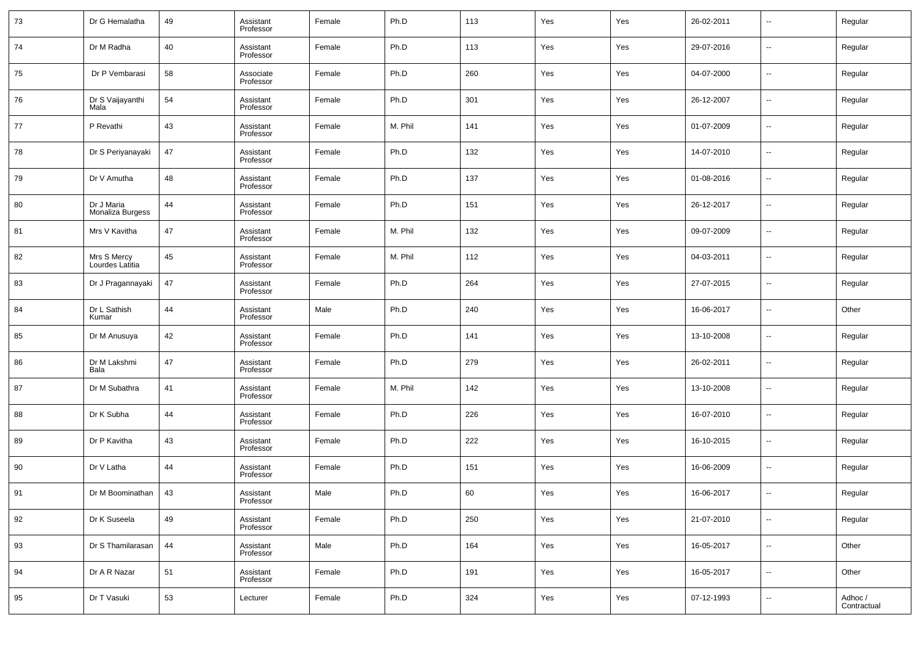| 73 | Dr G Hemalatha                 | 49 | Assistant<br>Professor | Female | Ph.D    | 113 | Yes | Yes | 26-02-2011 | --                       | Regular                |
|----|--------------------------------|----|------------------------|--------|---------|-----|-----|-----|------------|--------------------------|------------------------|
| 74 | Dr M Radha                     | 40 | Assistant<br>Professor | Female | Ph.D    | 113 | Yes | Yes | 29-07-2016 | --                       | Regular                |
| 75 | Dr P Vembarasi                 | 58 | Associate<br>Professor | Female | Ph.D    | 260 | Yes | Yes | 04-07-2000 | --                       | Regular                |
| 76 | Dr S Vaijayanthi<br>Mala       | 54 | Assistant<br>Professor | Female | Ph.D    | 301 | Yes | Yes | 26-12-2007 | $\sim$                   | Regular                |
| 77 | P Revathi                      | 43 | Assistant<br>Professor | Female | M. Phil | 141 | Yes | Yes | 01-07-2009 | --                       | Regular                |
| 78 | Dr S Periyanayaki              | 47 | Assistant<br>Professor | Female | Ph.D    | 132 | Yes | Yes | 14-07-2010 | $\sim$                   | Regular                |
| 79 | Dr V Amutha                    | 48 | Assistant<br>Professor | Female | Ph.D    | 137 | Yes | Yes | 01-08-2016 | --                       | Regular                |
| 80 | Dr J Maria<br>Monaliza Burgess | 44 | Assistant<br>Professor | Female | Ph.D    | 151 | Yes | Yes | 26-12-2017 | --                       | Regular                |
| 81 | Mrs V Kavitha                  | 47 | Assistant<br>Professor | Female | M. Phil | 132 | Yes | Yes | 09-07-2009 | --                       | Regular                |
| 82 | Mrs S Mercy<br>Lourdes Latitia | 45 | Assistant<br>Professor | Female | M. Phil | 112 | Yes | Yes | 04-03-2011 | --                       | Regular                |
| 83 | Dr J Pragannayaki              | 47 | Assistant<br>Professor | Female | Ph.D    | 264 | Yes | Yes | 27-07-2015 | --                       | Regular                |
| 84 | Dr L Sathish<br>Kumar          | 44 | Assistant<br>Professor | Male   | Ph.D    | 240 | Yes | Yes | 16-06-2017 | $\sim$                   | Other                  |
| 85 | Dr M Anusuya                   | 42 | Assistant<br>Professor | Female | Ph.D    | 141 | Yes | Yes | 13-10-2008 | --                       | Regular                |
| 86 | Dr M Lakshmi<br>Bala           | 47 | Assistant<br>Professor | Female | Ph.D    | 279 | Yes | Yes | 26-02-2011 | --                       | Regular                |
| 87 | Dr M Subathra                  | 41 | Assistant<br>Professor | Female | M. Phil | 142 | Yes | Yes | 13-10-2008 | --                       | Regular                |
| 88 | Dr K Subha                     | 44 | Assistant<br>Professor | Female | Ph.D    | 226 | Yes | Yes | 16-07-2010 | --                       | Regular                |
| 89 | Dr P Kavitha                   | 43 | Assistant<br>Professor | Female | Ph.D    | 222 | Yes | Yes | 16-10-2015 | --                       | Regular                |
| 90 | Dr V Latha                     | 44 | Assistant<br>Professor | Female | Ph.D    | 151 | Yes | Yes | 16-06-2009 | --                       | Regular                |
| 91 | Dr M Boominathan               | 43 | Assistant<br>Professor | Male   | Ph.D    | 60  | Yes | Yes | 16-06-2017 | --                       | Regular                |
| 92 | Dr K Suseela                   | 49 | Assistant<br>Professor | Female | Ph.D    | 250 | Yes | Yes | 21-07-2010 | $\sim$                   | Regular                |
| 93 | Dr S Thamilarasan              | 44 | Assistant<br>Professor | Male   | Ph.D    | 164 | Yes | Yes | 16-05-2017 | $\overline{\phantom{a}}$ | Other                  |
| 94 | Dr A R Nazar                   | 51 | Assistant<br>Professor | Female | Ph.D    | 191 | Yes | Yes | 16-05-2017 | $\sim$                   | Other                  |
| 95 | Dr T Vasuki                    | 53 | Lecturer               | Female | Ph.D    | 324 | Yes | Yes | 07-12-1993 | $\sim$                   | Adhoc /<br>Contractual |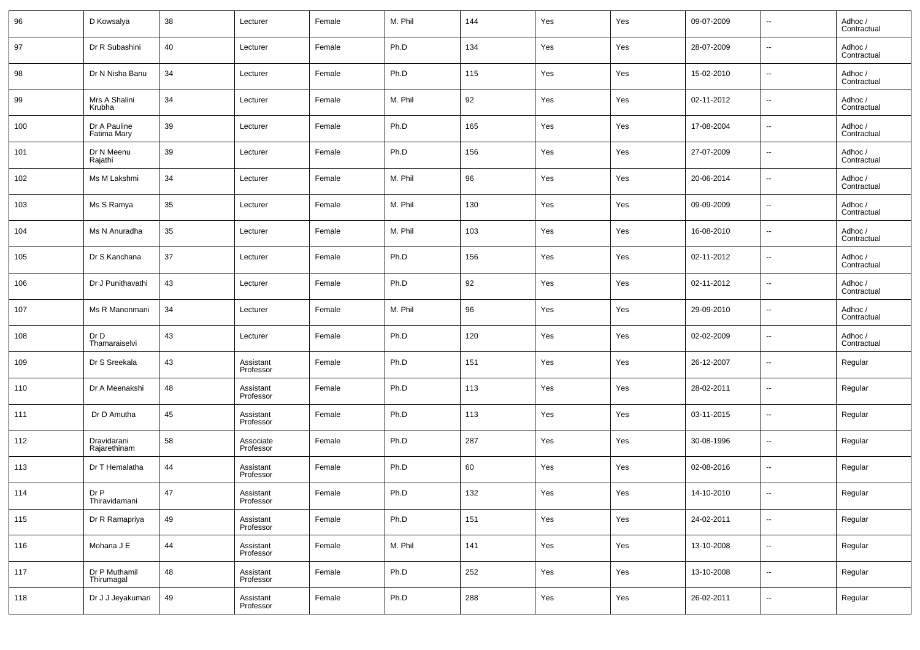| 96  | D Kowsalya                  | 38 | Lecturer               | Female | M. Phil | 144 | Yes | Yes | 09-07-2009 | $\overline{\phantom{a}}$ | Adhoc /<br>Contractual |
|-----|-----------------------------|----|------------------------|--------|---------|-----|-----|-----|------------|--------------------------|------------------------|
| 97  | Dr R Subashini              | 40 | Lecturer               | Female | Ph.D    | 134 | Yes | Yes | 28-07-2009 | $\overline{\phantom{a}}$ | Adhoc /<br>Contractual |
| 98  | Dr N Nisha Banu             | 34 | Lecturer               | Female | Ph.D    | 115 | Yes | Yes | 15-02-2010 | $\overline{\phantom{a}}$ | Adhoc /<br>Contractual |
| 99  | Mrs A Shalini<br>Krubha     | 34 | Lecturer               | Female | M. Phil | 92  | Yes | Yes | 02-11-2012 | $\overline{\phantom{a}}$ | Adhoc /<br>Contractual |
| 100 | Dr A Pauline<br>Fatima Mary | 39 | Lecturer               | Female | Ph.D    | 165 | Yes | Yes | 17-08-2004 | $\overline{\phantom{a}}$ | Adhoc /<br>Contractual |
| 101 | Dr N Meenu<br>Rajathi       | 39 | Lecturer               | Female | Ph.D    | 156 | Yes | Yes | 27-07-2009 | $\overline{\phantom{a}}$ | Adhoc /<br>Contractual |
| 102 | Ms M Lakshmi                | 34 | Lecturer               | Female | M. Phil | 96  | Yes | Yes | 20-06-2014 | $\overline{\phantom{a}}$ | Adhoc /<br>Contractual |
| 103 | Ms S Ramya                  | 35 | Lecturer               | Female | M. Phil | 130 | Yes | Yes | 09-09-2009 | $\overline{\phantom{a}}$ | Adhoc /<br>Contractual |
| 104 | Ms N Anuradha               | 35 | Lecturer               | Female | M. Phil | 103 | Yes | Yes | 16-08-2010 | $\overline{\phantom{a}}$ | Adhoc /<br>Contractual |
| 105 | Dr S Kanchana               | 37 | Lecturer               | Female | Ph.D    | 156 | Yes | Yes | 02-11-2012 | $\overline{\phantom{a}}$ | Adhoc /<br>Contractual |
| 106 | Dr J Punithavathi           | 43 | Lecturer               | Female | Ph.D    | 92  | Yes | Yes | 02-11-2012 | $\overline{\phantom{a}}$ | Adhoc /<br>Contractual |
| 107 | Ms R Manonmani              | 34 | Lecturer               | Female | M. Phil | 96  | Yes | Yes | 29-09-2010 | $\overline{\phantom{a}}$ | Adhoc /<br>Contractual |
| 108 | Dr D<br>Thamaraiselvi       | 43 | Lecturer               | Female | Ph.D    | 120 | Yes | Yes | 02-02-2009 | $\overline{\phantom{a}}$ | Adhoc /<br>Contractual |
| 109 | Dr S Sreekala               | 43 | Assistant<br>Professor | Female | Ph.D    | 151 | Yes | Yes | 26-12-2007 | $\overline{\phantom{a}}$ | Regular                |
| 110 | Dr A Meenakshi              | 48 | Assistant<br>Professor | Female | Ph.D    | 113 | Yes | Yes | 28-02-2011 | $\overline{\phantom{a}}$ | Regular                |
| 111 | Dr D Amutha                 | 45 | Assistant<br>Professor | Female | Ph.D    | 113 | Yes | Yes | 03-11-2015 | $\overline{\phantom{a}}$ | Regular                |
| 112 | Dravidarani<br>Rajarethinam | 58 | Associate<br>Professor | Female | Ph.D    | 287 | Yes | Yes | 30-08-1996 | $\overline{\phantom{a}}$ | Regular                |
| 113 | Dr T Hemalatha              | 44 | Assistant<br>Professor | Female | Ph.D    | 60  | Yes | Yes | 02-08-2016 | $\overline{\phantom{a}}$ | Regular                |
| 114 | Dr P<br>Thiravidamani       | 47 | Assistant<br>Professor | Female | Ph.D    | 132 | Yes | Yes | 14-10-2010 | $\overline{\phantom{a}}$ | Regular                |
| 115 | Dr R Ramapriya              | 49 | Assistant<br>Professor | Female | Ph.D    | 151 | Yes | Yes | 24-02-2011 | $\sim$                   | Regular                |
| 116 | Mohana J E                  | 44 | Assistant<br>Professor | Female | M. Phil | 141 | Yes | Yes | 13-10-2008 | $\overline{\phantom{a}}$ | Regular                |
| 117 | Dr P Muthamil<br>Thirumagal | 48 | Assistant<br>Professor | Female | Ph.D    | 252 | Yes | Yes | 13-10-2008 | $\overline{\phantom{a}}$ | Regular                |
| 118 | Dr J J Jeyakumari           | 49 | Assistant<br>Professor | Female | Ph.D    | 288 | Yes | Yes | 26-02-2011 | $\overline{\phantom{a}}$ | Regular                |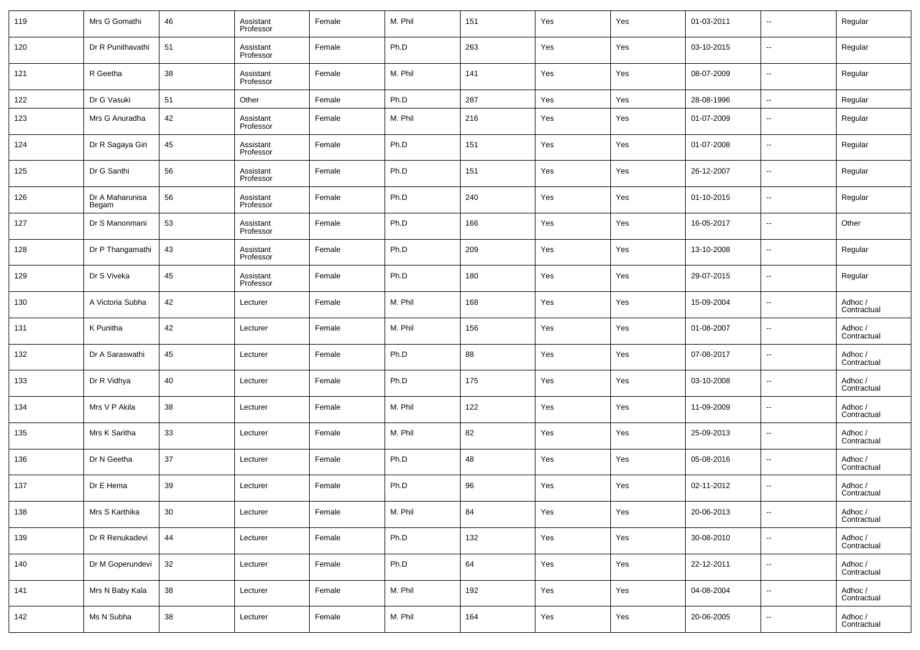| 119 | Mrs G Gomathi            | 46 | Assistant<br>Professor | Female | M. Phil | 151 | Yes | Yes | 01-03-2011 | $\overline{\phantom{a}}$ | Regular                |
|-----|--------------------------|----|------------------------|--------|---------|-----|-----|-----|------------|--------------------------|------------------------|
| 120 | Dr R Punithavathi        | 51 | Assistant<br>Professor | Female | Ph.D    | 263 | Yes | Yes | 03-10-2015 | $\overline{\phantom{a}}$ | Regular                |
| 121 | R Geetha                 | 38 | Assistant<br>Professor | Female | M. Phil | 141 | Yes | Yes | 08-07-2009 | $\overline{\phantom{a}}$ | Regular                |
| 122 | Dr G Vasuki              | 51 | Other                  | Female | Ph.D    | 287 | Yes | Yes | 28-08-1996 | $\overline{\phantom{a}}$ | Regular                |
| 123 | Mrs G Anuradha           | 42 | Assistant<br>Professor | Female | M. Phil | 216 | Yes | Yes | 01-07-2009 | $\overline{\phantom{a}}$ | Regular                |
| 124 | Dr R Sagaya Giri         | 45 | Assistant<br>Professor | Female | Ph.D    | 151 | Yes | Yes | 01-07-2008 | $\overline{\phantom{a}}$ | Regular                |
| 125 | Dr G Santhi              | 56 | Assistant<br>Professor | Female | Ph.D    | 151 | Yes | Yes | 26-12-2007 | $\overline{\phantom{a}}$ | Regular                |
| 126 | Dr A Maharunisa<br>Begam | 56 | Assistant<br>Professor | Female | Ph.D    | 240 | Yes | Yes | 01-10-2015 | $\overline{\phantom{a}}$ | Regular                |
| 127 | Dr S Manonmani           | 53 | Assistant<br>Professor | Female | Ph.D    | 166 | Yes | Yes | 16-05-2017 | $\overline{\phantom{a}}$ | Other                  |
| 128 | Dr P Thangamathi         | 43 | Assistant<br>Professor | Female | Ph.D    | 209 | Yes | Yes | 13-10-2008 | $\overline{\phantom{a}}$ | Regular                |
| 129 | Dr S Viveka              | 45 | Assistant<br>Professor | Female | Ph.D    | 180 | Yes | Yes | 29-07-2015 | $\overline{\phantom{a}}$ | Regular                |
| 130 | A Victoria Subha         | 42 | Lecturer               | Female | M. Phil | 168 | Yes | Yes | 15-09-2004 | $\overline{\phantom{a}}$ | Adhoc /<br>Contractual |
| 131 | K Punitha                | 42 | Lecturer               | Female | M. Phil | 156 | Yes | Yes | 01-08-2007 | $\overline{\phantom{a}}$ | Adhoc /<br>Contractual |
| 132 | Dr A Saraswathi          | 45 | Lecturer               | Female | Ph.D    | 88  | Yes | Yes | 07-08-2017 | $\overline{\phantom{a}}$ | Adhoc /<br>Contractual |
| 133 | Dr R Vidhya              | 40 | Lecturer               | Female | Ph.D    | 175 | Yes | Yes | 03-10-2008 | $\overline{\phantom{a}}$ | Adhoc /<br>Contractual |
| 134 | Mrs V P Akila            | 38 | Lecturer               | Female | M. Phil | 122 | Yes | Yes | 11-09-2009 | $\overline{\phantom{a}}$ | Adhoc /<br>Contractual |
| 135 | Mrs K Saritha            | 33 | Lecturer               | Female | M. Phil | 82  | Yes | Yes | 25-09-2013 | $\overline{\phantom{a}}$ | Adhoc /<br>Contractual |
| 136 | Dr N Geetha              | 37 | Lecturer               | Female | Ph.D    | 48  | Yes | Yes | 05-08-2016 | $\overline{\phantom{a}}$ | Adhoc /<br>Contractual |
| 137 | Dr E Hema                | 39 | Lecturer               | Female | Ph.D    | 96  | Yes | Yes | 02-11-2012 | $\overline{\phantom{a}}$ | Adhoc /<br>Contractual |
| 138 | Mrs S Karthika           | 30 | Lecturer               | Female | M. Phil | 84  | Yes | Yes | 20-06-2013 | ۰.                       | Adhoc /<br>Contractual |
| 139 | Dr R Renukadevi          | 44 | Lecturer               | Female | Ph.D    | 132 | Yes | Yes | 30-08-2010 | ۰.                       | Adhoc /<br>Contractual |
| 140 | Dr M Goperundevi         | 32 | Lecturer               | Female | Ph.D    | 64  | Yes | Yes | 22-12-2011 | $\overline{\phantom{a}}$ | Adhoc /<br>Contractual |
| 141 | Mrs N Baby Kala          | 38 | Lecturer               | Female | M. Phil | 192 | Yes | Yes | 04-08-2004 | $\overline{\phantom{a}}$ | Adhoc /<br>Contractual |
| 142 | Ms N Subha               | 38 | Lecturer               | Female | M. Phil | 164 | Yes | Yes | 20-06-2005 | $\overline{\phantom{a}}$ | Adhoc /<br>Contractual |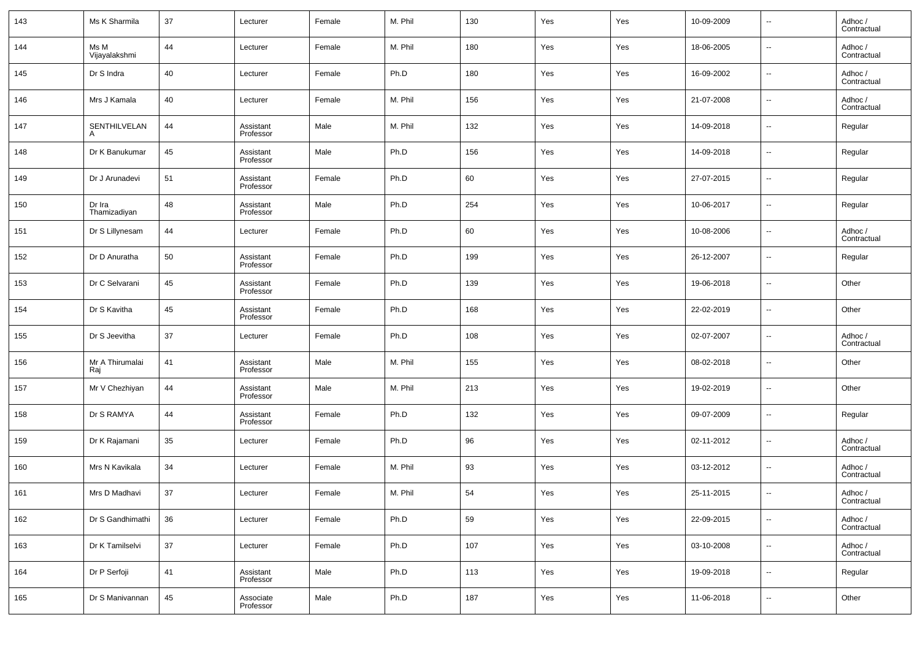| 143 | Ms K Sharmila          | 37 | Lecturer               | Female | M. Phil | 130 | Yes | Yes | 10-09-2009 | $\overline{\phantom{a}}$ | Adhoc /<br>Contractual |
|-----|------------------------|----|------------------------|--------|---------|-----|-----|-----|------------|--------------------------|------------------------|
| 144 | Ms M<br>Vijayalakshmi  | 44 | Lecturer               | Female | M. Phil | 180 | Yes | Yes | 18-06-2005 | $\overline{\phantom{a}}$ | Adhoc /<br>Contractual |
| 145 | Dr S Indra             | 40 | Lecturer               | Female | Ph.D    | 180 | Yes | Yes | 16-09-2002 | $\overline{\phantom{a}}$ | Adhoc /<br>Contractual |
| 146 | Mrs J Kamala           | 40 | Lecturer               | Female | M. Phil | 156 | Yes | Yes | 21-07-2008 | $\overline{\phantom{a}}$ | Adhoc /<br>Contractual |
| 147 | SENTHILVELAN           | 44 | Assistant<br>Professor | Male   | M. Phil | 132 | Yes | Yes | 14-09-2018 | $\overline{\phantom{a}}$ | Regular                |
| 148 | Dr K Banukumar         | 45 | Assistant<br>Professor | Male   | Ph.D    | 156 | Yes | Yes | 14-09-2018 | $\overline{\phantom{a}}$ | Regular                |
| 149 | Dr J Arunadevi         | 51 | Assistant<br>Professor | Female | Ph.D    | 60  | Yes | Yes | 27-07-2015 | $\overline{\phantom{a}}$ | Regular                |
| 150 | Dr Ira<br>Thamizadiyan | 48 | Assistant<br>Professor | Male   | Ph.D    | 254 | Yes | Yes | 10-06-2017 | $\overline{\phantom{a}}$ | Regular                |
| 151 | Dr S Lillynesam        | 44 | Lecturer               | Female | Ph.D    | 60  | Yes | Yes | 10-08-2006 | $\overline{\phantom{a}}$ | Adhoc /<br>Contractual |
| 152 | Dr D Anuratha          | 50 | Assistant<br>Professor | Female | Ph.D    | 199 | Yes | Yes | 26-12-2007 | $\overline{\phantom{a}}$ | Regular                |
| 153 | Dr C Selvarani         | 45 | Assistant<br>Professor | Female | Ph.D    | 139 | Yes | Yes | 19-06-2018 | $\overline{\phantom{a}}$ | Other                  |
| 154 | Dr S Kavitha           | 45 | Assistant<br>Professor | Female | Ph.D    | 168 | Yes | Yes | 22-02-2019 | $\overline{\phantom{a}}$ | Other                  |
| 155 | Dr S Jeevitha          | 37 | Lecturer               | Female | Ph.D    | 108 | Yes | Yes | 02-07-2007 | $\overline{\phantom{a}}$ | Adhoc /<br>Contractual |
| 156 | Mr A Thirumalai<br>Raj | 41 | Assistant<br>Professor | Male   | M. Phil | 155 | Yes | Yes | 08-02-2018 | $\overline{\phantom{a}}$ | Other                  |
| 157 | Mr V Chezhiyan         | 44 | Assistant<br>Professor | Male   | M. Phil | 213 | Yes | Yes | 19-02-2019 | $\overline{\phantom{a}}$ | Other                  |
| 158 | Dr S RAMYA             | 44 | Assistant<br>Professor | Female | Ph.D    | 132 | Yes | Yes | 09-07-2009 | $\overline{\phantom{a}}$ | Regular                |
| 159 | Dr K Rajamani          | 35 | Lecturer               | Female | Ph.D    | 96  | Yes | Yes | 02-11-2012 | $\overline{\phantom{a}}$ | Adhoc /<br>Contractual |
| 160 | Mrs N Kavikala         | 34 | Lecturer               | Female | M. Phil | 93  | Yes | Yes | 03-12-2012 | $\overline{\phantom{a}}$ | Adhoc /<br>Contractual |
| 161 | Mrs D Madhavi          | 37 | Lecturer               | Female | M. Phil | 54  | Yes | Yes | 25-11-2015 | $\overline{\phantom{a}}$ | Adhoc /<br>Contractual |
| 162 | Dr S Gandhimathi       | 36 | Lecturer               | Female | Ph.D    | 59  | Yes | Yes | 22-09-2015 | $\overline{\phantom{a}}$ | Adhoc /<br>Contractual |
| 163 | Dr K Tamilselvi        | 37 | Lecturer               | Female | Ph.D    | 107 | Yes | Yes | 03-10-2008 | $\overline{\phantom{a}}$ | Adhoc /<br>Contractual |
| 164 | Dr P Serfoji           | 41 | Assistant<br>Professor | Male   | Ph.D    | 113 | Yes | Yes | 19-09-2018 | $\overline{\phantom{a}}$ | Regular                |
| 165 | Dr S Manivannan        | 45 | Associate<br>Professor | Male   | Ph.D    | 187 | Yes | Yes | 11-06-2018 | ۰.                       | Other                  |